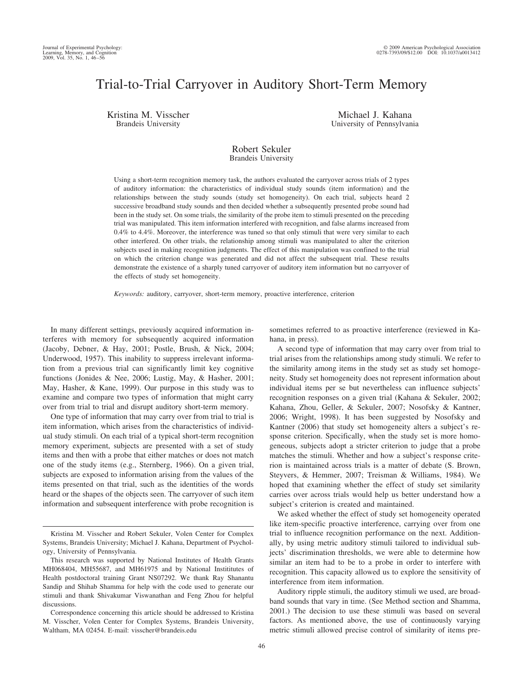# Trial-to-Trial Carryover in Auditory Short-Term Memory

Kristina M. Visscher Brandeis University

Michael J. Kahana University of Pennsylvania

# Robert Sekuler Brandeis University

Using a short-term recognition memory task, the authors evaluated the carryover across trials of 2 types of auditory information: the characteristics of individual study sounds (item information) and the relationships between the study sounds (study set homogeneity). On each trial, subjects heard 2 successive broadband study sounds and then decided whether a subsequently presented probe sound had been in the study set. On some trials, the similarity of the probe item to stimuli presented on the preceding trial was manipulated. This item information interfered with recognition, and false alarms increased from 0.4% to 4.4%. Moreover, the interference was tuned so that only stimuli that were very similar to each other interfered. On other trials, the relationship among stimuli was manipulated to alter the criterion subjects used in making recognition judgments. The effect of this manipulation was confined to the trial on which the criterion change was generated and did not affect the subsequent trial. These results demonstrate the existence of a sharply tuned carryover of auditory item information but no carryover of the effects of study set homogeneity.

*Keywords:* auditory, carryover, short-term memory, proactive interference, criterion

In many different settings, previously acquired information interferes with memory for subsequently acquired information (Jacoby, Debner, & Hay, 2001; Postle, Brush, & Nick, 2004; Underwood, 1957). This inability to suppress irrelevant information from a previous trial can significantly limit key cognitive functions (Jonides & Nee, 2006; Lustig, May, & Hasher, 2001; May, Hasher, & Kane, 1999). Our purpose in this study was to examine and compare two types of information that might carry over from trial to trial and disrupt auditory short-term memory.

One type of information that may carry over from trial to trial is item information, which arises from the characteristics of individual study stimuli. On each trial of a typical short-term recognition memory experiment, subjects are presented with a set of study items and then with a probe that either matches or does not match one of the study items (e.g., Sternberg, 1966). On a given trial, subjects are exposed to information arising from the values of the items presented on that trial, such as the identities of the words heard or the shapes of the objects seen. The carryover of such item information and subsequent interference with probe recognition is sometimes referred to as proactive interference (reviewed in Kahana, in press).

A second type of information that may carry over from trial to trial arises from the relationships among study stimuli. We refer to the similarity among items in the study set as study set homogeneity. Study set homogeneity does not represent information about individual items per se but nevertheless can influence subjects' recognition responses on a given trial (Kahana & Sekuler, 2002; Kahana, Zhou, Geller, & Sekuler, 2007; Nosofsky & Kantner, 2006; Wright, 1998). It has been suggested by Nosofsky and Kantner (2006) that study set homogeneity alters a subject's response criterion. Specifically, when the study set is more homogeneous, subjects adopt a stricter criterion to judge that a probe matches the stimuli. Whether and how a subject's response criterion is maintained across trials is a matter of debate (S. Brown, Steyvers, & Hemmer, 2007; Treisman & Williams, 1984). We hoped that examining whether the effect of study set similarity carries over across trials would help us better understand how a subject's criterion is created and maintained.

We asked whether the effect of study set homogeneity operated like item-specific proactive interference, carrying over from one trial to influence recognition performance on the next. Additionally, by using metric auditory stimuli tailored to individual subjects' discrimination thresholds, we were able to determine how similar an item had to be to a probe in order to interfere with recognition. This capacity allowed us to explore the sensitivity of interference from item information.

Auditory ripple stimuli, the auditory stimuli we used, are broadband sounds that vary in time. (See Method section and Shamma, 2001.) The decision to use these stimuli was based on several factors. As mentioned above, the use of continuously varying metric stimuli allowed precise control of similarity of items pre-

Kristina M. Visscher and Robert Sekuler, Volen Center for Complex Systems, Brandeis University; Michael J. Kahana, Department of Psychology, University of Pennsylvania.

This research was supported by National Institutes of Health Grants MH068404, MH55687, and MH61975 and by National Instititutes of Health postdoctoral training Grant NS07292. We thank Ray Shanantu Sandip and Shihab Shamma for help with the code used to generate our stimuli and thank Shivakumar Viswanathan and Feng Zhou for helpful discussions.

Correspondence concerning this article should be addressed to Kristina M. Visscher, Volen Center for Complex Systems, Brandeis University, Waltham, MA 02454. E-mail: visscher@brandeis.edu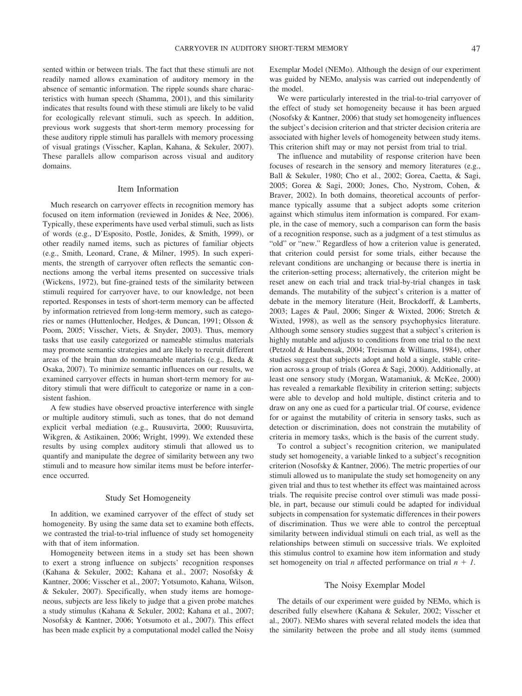sented within or between trials. The fact that these stimuli are not readily named allows examination of auditory memory in the absence of semantic information. The ripple sounds share characteristics with human speech (Shamma, 2001), and this similarity indicates that results found with these stimuli are likely to be valid for ecologically relevant stimuli, such as speech. In addition, previous work suggests that short-term memory processing for these auditory ripple stimuli has parallels with memory processing of visual gratings (Visscher, Kaplan, Kahana, & Sekuler, 2007). These parallels allow comparison across visual and auditory domains.

#### Item Information

Much research on carryover effects in recognition memory has focused on item information (reviewed in Jonides & Nee, 2006). Typically, these experiments have used verbal stimuli, such as lists of words (e.g., D'Esposito, Postle, Jonides, & Smith, 1999), or other readily named items, such as pictures of familiar objects (e.g., Smith, Leonard, Crane, & Milner, 1995). In such experiments, the strength of carryover often reflects the semantic connections among the verbal items presented on successive trials (Wickens, 1972), but fine-grained tests of the similarity between stimuli required for carryover have, to our knowledge, not been reported. Responses in tests of short-term memory can be affected by information retrieved from long-term memory, such as categories or names (Huttenlocher, Hedges, & Duncan, 1991; Olsson & Poom, 2005; Visscher, Viets, & Snyder, 2003). Thus, memory tasks that use easily categorized or nameable stimulus materials may promote semantic strategies and are likely to recruit different areas of the brain than do nonnameable materials (e.g., Ikeda & Osaka, 2007). To minimize semantic influences on our results, we examined carryover effects in human short-term memory for auditory stimuli that were difficult to categorize or name in a consistent fashion.

A few studies have observed proactive interference with single or multiple auditory stimuli, such as tones, that do not demand explicit verbal mediation (e.g., Ruusuvirta, 2000; Ruusuvirta, Wikgren, & Astikainen, 2006; Wright, 1999). We extended these results by using complex auditory stimuli that allowed us to quantify and manipulate the degree of similarity between any two stimuli and to measure how similar items must be before interference occurred.

### Study Set Homogeneity

In addition, we examined carryover of the effect of study set homogeneity. By using the same data set to examine both effects, we contrasted the trial-to-trial influence of study set homogeneity with that of item information.

Homogeneity between items in a study set has been shown to exert a strong influence on subjects' recognition responses (Kahana & Sekuler, 2002; Kahana et al., 2007; Nosofsky & Kantner, 2006; Visscher et al., 2007; Yotsumoto, Kahana, Wilson, & Sekuler, 2007). Specifically, when study items are homogeneous, subjects are less likely to judge that a given probe matches a study stimulus (Kahana & Sekuler, 2002; Kahana et al., 2007; Nosofsky & Kantner, 2006; Yotsumoto et al., 2007). This effect has been made explicit by a computational model called the Noisy Exemplar Model (NEMo). Although the design of our experiment was guided by NEMo, analysis was carried out independently of the model.

We were particularly interested in the trial-to-trial carryover of the effect of study set homogeneity because it has been argued (Nosofsky & Kantner, 2006) that study set homogeneity influences the subject's decision criterion and that stricter decision criteria are associated with higher levels of homogeneity between study items. This criterion shift may or may not persist from trial to trial.

The influence and mutability of response criterion have been focuses of research in the sensory and memory literatures (e.g., Ball & Sekuler, 1980; Cho et al., 2002; Gorea, Caetta, & Sagi, 2005; Gorea & Sagi, 2000; Jones, Cho, Nystrom, Cohen, & Braver, 2002). In both domains, theoretical accounts of performance typically assume that a subject adopts some criterion against which stimulus item information is compared. For example, in the case of memory, such a comparison can form the basis of a recognition response, such as a judgment of a test stimulus as "old" or "new." Regardless of how a criterion value is generated, that criterion could persist for some trials, either because the relevant conditions are unchanging or because there is inertia in the criterion-setting process; alternatively, the criterion might be reset anew on each trial and track trial-by-trial changes in task demands. The mutability of the subject's criterion is a matter of debate in the memory literature (Heit, Brockdorff, & Lamberts, 2003; Lages & Paul, 2006; Singer & Wixted, 2006; Stretch & Wixted, 1998), as well as the sensory psychophysics literature. Although some sensory studies suggest that a subject's criterion is highly mutable and adjusts to conditions from one trial to the next (Petzold & Haubensak, 2004; Treisman & Williams, 1984), other studies suggest that subjects adopt and hold a single, stable criterion across a group of trials (Gorea & Sagi, 2000). Additionally, at least one sensory study (Morgan, Watamaniuk, & McKee, 2000) has revealed a remarkable flexibility in criterion setting; subjects were able to develop and hold multiple, distinct criteria and to draw on any one as cued for a particular trial. Of course, evidence for or against the mutability of criteria in sensory tasks, such as detection or discrimination, does not constrain the mutability of criteria in memory tasks, which is the basis of the current study.

To control a subject's recognition criterion, we manipulated study set homogeneity, a variable linked to a subject's recognition criterion (Nosofsky & Kantner, 2006). The metric properties of our stimuli allowed us to manipulate the study set homogeneity on any given trial and thus to test whether its effect was maintained across trials. The requisite precise control over stimuli was made possible, in part, because our stimuli could be adapted for individual subjects in compensation for systematic differences in their powers of discrimination. Thus we were able to control the perceptual similarity between individual stimuli on each trial, as well as the relationships between stimuli on successive trials. We exploited this stimulus control to examine how item information and study set homogeneity on trial *n* affected performance on trial  $n + 1$ .

# The Noisy Exemplar Model

The details of our experiment were guided by NEMo, which is described fully elsewhere (Kahana & Sekuler, 2002; Visscher et al., 2007). NEMo shares with several related models the idea that the similarity between the probe and all study items (summed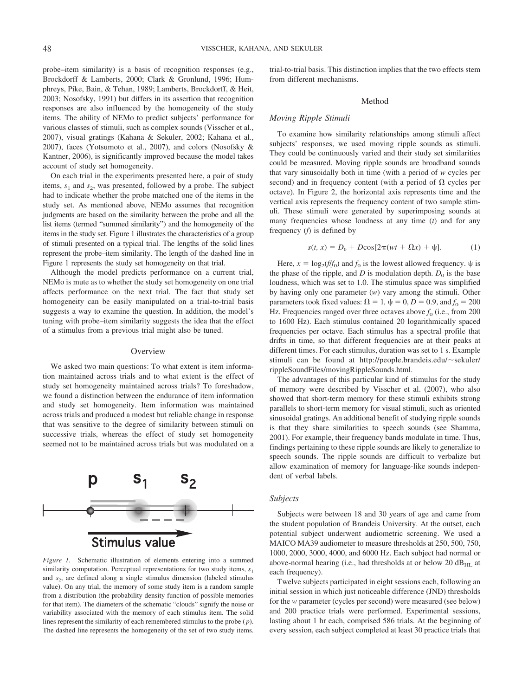probe–item similarity) is a basis of recognition responses (e.g., Brockdorff & Lamberts, 2000; Clark & Gronlund, 1996; Humphreys, Pike, Bain, & Tehan, 1989; Lamberts, Brockdorff, & Heit, 2003; Nosofsky, 1991) but differs in its assertion that recognition responses are also influenced by the homogeneity of the study items. The ability of NEMo to predict subjects' performance for various classes of stimuli, such as complex sounds (Visscher et al., 2007), visual gratings (Kahana & Sekuler, 2002; Kahana et al., 2007), faces (Yotsumoto et al., 2007), and colors (Nosofsky & Kantner, 2006), is significantly improved because the model takes account of study set homogeneity.

On each trial in the experiments presented here, a pair of study items,  $s_1$  and  $s_2$ , was presented, followed by a probe. The subject had to indicate whether the probe matched one of the items in the study set. As mentioned above, NEMo assumes that recognition judgments are based on the similarity between the probe and all the list items (termed "summed similarity") and the homogeneity of the items in the study set. Figure 1 illustrates the characteristics of a group of stimuli presented on a typical trial. The lengths of the solid lines represent the probe–item similarity. The length of the dashed line in Figure 1 represents the study set homogeneity on that trial.

Although the model predicts performance on a current trial, NEMo is mute as to whether the study set homogeneity on one trial affects performance on the next trial. The fact that study set homogeneity can be easily manipulated on a trial-to-trial basis suggests a way to examine the question. In addition, the model's tuning with probe–item similarity suggests the idea that the effect of a stimulus from a previous trial might also be tuned.

#### **Overview**

We asked two main questions: To what extent is item information maintained across trials and to what extent is the effect of study set homogeneity maintained across trials? To foreshadow, we found a distinction between the endurance of item information and study set homogeneity. Item information was maintained across trials and produced a modest but reliable change in response that was sensitive to the degree of similarity between stimuli on successive trials, whereas the effect of study set homogeneity seemed not to be maintained across trials but was modulated on a



*Figure 1.* Schematic illustration of elements entering into a summed similarity computation. Perceptual representations for two study items,  $s_1$ and  $s<sub>2</sub>$ , are defined along a single stimulus dimension (labeled stimulus value). On any trial, the memory of some study item is a random sample from a distribution (the probability density function of possible memories for that item). The diameters of the schematic "clouds" signify the noise or variability associated with the memory of each stimulus item. The solid lines represent the similarity of each remembered stimulus to the probe ( *p*). The dashed line represents the homogeneity of the set of two study items.

trial-to-trial basis. This distinction implies that the two effects stem from different mechanisms.

## Method

#### *Moving Ripple Stimuli*

To examine how similarity relationships among stimuli affect subjects' responses, we used moving ripple sounds as stimuli. They could be continuously varied and their study set similarities could be measured. Moving ripple sounds are broadband sounds that vary sinusoidally both in time (with a period of *w* cycles per second) and in frequency content (with a period of  $\Omega$  cycles per octave). In Figure 2, the horizontal axis represents time and the vertical axis represents the frequency content of two sample stimuli. These stimuli were generated by superimposing sounds at many frequencies whose loudness at any time (*t*) and for any frequency (*f*) is defined by

$$
s(t, x) = D_0 + D\cos[2\pi(wt + \Omega x) + \psi].
$$
 (1)

Here,  $x = \log_2(f/f_0)$  and  $f_0$  is the lowest allowed frequency.  $\psi$  is the phase of the ripple, and *D* is modulation depth.  $D_0$  is the base loudness, which was set to 1.0. The stimulus space was simplified by having only one parameter (*w*) vary among the stimuli. Other parameters took fixed values:  $\Omega = 1$ ,  $\psi = 0$ ,  $D = 0.9$ , and  $f_0 = 200$ Hz. Frequencies ranged over three octaves above  $f_0$  (i.e., from 200 to 1600 Hz). Each stimulus contained 20 logarithmically spaced frequencies per octave. Each stimulus has a spectral profile that drifts in time, so that different frequencies are at their peaks at different times. For each stimulus, duration was set to 1 s. Example stimuli can be found at http://people.brandeis.edu/~sekuler/ rippleSoundFiles/movingRippleSounds.html.

The advantages of this particular kind of stimulus for the study of memory were described by Visscher et al. (2007), who also showed that short-term memory for these stimuli exhibits strong parallels to short-term memory for visual stimuli, such as oriented sinusoidal gratings. An additional benefit of studying ripple sounds is that they share similarities to speech sounds (see Shamma, 2001). For example, their frequency bands modulate in time. Thus, findings pertaining to these ripple sounds are likely to generalize to speech sounds. The ripple sounds are difficult to verbalize but allow examination of memory for language-like sounds independent of verbal labels.

#### *Subjects*

Subjects were between 18 and 30 years of age and came from the student population of Brandeis University. At the outset, each potential subject underwent audiometric screening. We used a MAICO MA39 audiometer to measure thresholds at 250, 500, 750, 1000, 2000, 3000, 4000, and 6000 Hz. Each subject had normal or above-normal hearing (i.e., had thresholds at or below 20  $dB_{\text{HL}}$  at each frequency).

Twelve subjects participated in eight sessions each, following an initial session in which just noticeable difference (JND) thresholds for the *w* parameter (cycles per second) were measured (see below) and 200 practice trials were performed. Experimental sessions, lasting about 1 hr each, comprised 586 trials. At the beginning of every session, each subject completed at least 30 practice trials that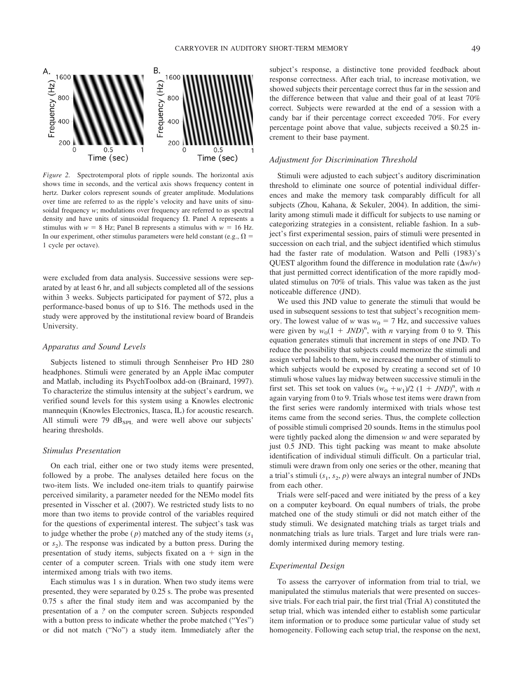

*Figure 2.* Spectrotemporal plots of ripple sounds. The horizontal axis shows time in seconds, and the vertical axis shows frequency content in hertz. Darker colors represent sounds of greater amplitude. Modulations over time are referred to as the ripple's velocity and have units of sinusoidal frequency *w*; modulations over frequency are referred to as spectral density and have units of sinusoidal frequency  $\Omega$ . Panel A represents a stimulus with  $w = 8$  Hz; Panel B represents a stimulus with  $w = 16$  Hz. In our experiment, other stimulus parameters were held constant (e.g.,  $\Omega$  = 1 cycle per octave).

were excluded from data analysis. Successive sessions were separated by at least 6 hr, and all subjects completed all of the sessions within 3 weeks. Subjects participated for payment of \$72, plus a performance-based bonus of up to \$16. The methods used in the study were approved by the institutional review board of Brandeis University.

### *Apparatus and Sound Levels*

Subjects listened to stimuli through Sennheiser Pro HD 280 headphones. Stimuli were generated by an Apple iMac computer and Matlab, including its PsychToolbox add-on (Brainard, 1997). To characterize the stimulus intensity at the subject's eardrum, we verified sound levels for this system using a Knowles electronic mannequin (Knowles Electronics, Itasca, IL) for acoustic research. All stimuli were 79  $dB_{SPL}$  and were well above our subjects' hearing thresholds.

# *Stimulus Presentation*

On each trial, either one or two study items were presented, followed by a probe. The analyses detailed here focus on the two-item lists. We included one-item trials to quantify pairwise perceived similarity, a parameter needed for the NEMo model fits presented in Visscher et al. (2007). We restricted study lists to no more than two items to provide control of the variables required for the questions of experimental interest. The subject's task was to judge whether the probe  $(p)$  matched any of the study items  $(s_1)$ or  $s<sub>2</sub>$ ). The response was indicated by a button press. During the presentation of study items, subjects fixated on  $a + sign$  in the center of a computer screen. Trials with one study item were intermixed among trials with two items.

Each stimulus was 1 s in duration. When two study items were presented, they were separated by 0.25 s. The probe was presented 0.75 s after the final study item and was accompanied by the presentation of a *?* on the computer screen. Subjects responded with a button press to indicate whether the probe matched ("Yes") or did not match ("No") a study item. Immediately after the subject's response, a distinctive tone provided feedback about response correctness. After each trial, to increase motivation, we showed subjects their percentage correct thus far in the session and the difference between that value and their goal of at least 70% correct. Subjects were rewarded at the end of a session with a candy bar if their percentage correct exceeded 70%. For every percentage point above that value, subjects received a \$0.25 increment to their base payment.

## *Adjustment for Discrimination Threshold*

Stimuli were adjusted to each subject's auditory discrimination threshold to eliminate one source of potential individual differences and make the memory task comparably difficult for all subjects (Zhou, Kahana, & Sekuler, 2004). In addition, the similarity among stimuli made it difficult for subjects to use naming or categorizing strategies in a consistent, reliable fashion. In a subject's first experimental session, pairs of stimuli were presented in succession on each trial, and the subject identified which stimulus had the faster rate of modulation. Watson and Pelli (1983)'s QUEST algorithm found the difference in modulation rate  $(\Delta w/w)$ that just permitted correct identification of the more rapidly modulated stimulus on 70% of trials. This value was taken as the just noticeable difference (JND).

We used this JND value to generate the stimuli that would be used in subsequent sessions to test that subject's recognition memory. The lowest value of *w* was  $w_0 = 7$  Hz, and successive values were given by  $w_0(1 + JND)^n$ , with *n* varying from 0 to 9. This equation generates stimuli that increment in steps of one JND. To reduce the possibility that subjects could memorize the stimuli and assign verbal labels to them, we increased the number of stimuli to which subjects would be exposed by creating a second set of 10 stimuli whose values lay midway between successive stimuli in the first set. This set took on values  $(w_0 + w_1)/2$   $(1 + JND)^n$ , with *n* again varying from 0 to 9. Trials whose test items were drawn from the first series were randomly intermixed with trials whose test items came from the second series. Thus, the complete collection of possible stimuli comprised 20 sounds. Items in the stimulus pool were tightly packed along the dimension *w* and were separated by just 0.5 JND. This tight packing was meant to make absolute identification of individual stimuli difficult. On a particular trial, stimuli were drawn from only one series or the other, meaning that a trial's stimuli  $(s_1, s_2, p)$  were always an integral number of JNDs from each other.

Trials were self-paced and were initiated by the press of a key on a computer keyboard. On equal numbers of trials, the probe matched one of the study stimuli or did not match either of the study stimuli. We designated matching trials as target trials and nonmatching trials as lure trials. Target and lure trials were randomly intermixed during memory testing.

# *Experimental Design*

To assess the carryover of information from trial to trial, we manipulated the stimulus materials that were presented on successive trials. For each trial pair, the first trial (Trial A) constituted the setup trial, which was intended either to establish some particular item information or to produce some particular value of study set homogeneity. Following each setup trial, the response on the next,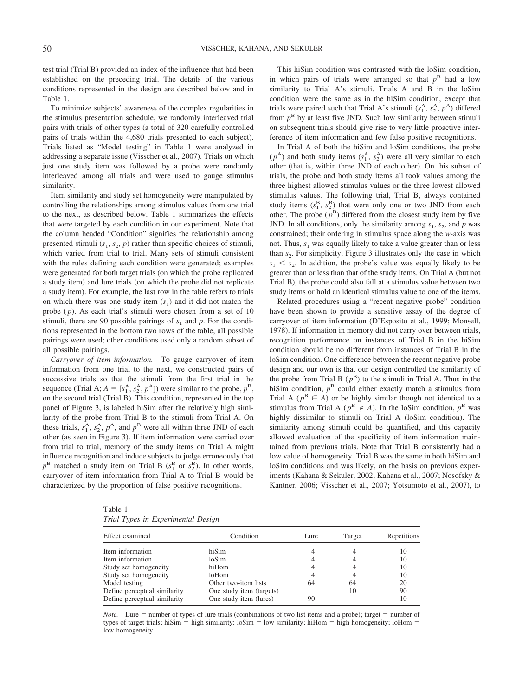test trial (Trial B) provided an index of the influence that had been established on the preceding trial. The details of the various conditions represented in the design are described below and in Table 1.

To minimize subjects' awareness of the complex regularities in the stimulus presentation schedule, we randomly interleaved trial pairs with trials of other types (a total of 320 carefully controlled pairs of trials within the 4,680 trials presented to each subject). Trials listed as "Model testing" in Table 1 were analyzed in addressing a separate issue (Visscher et al., 2007). Trials on which just one study item was followed by a probe were randomly interleaved among all trials and were used to gauge stimulus similarity.

Item similarity and study set homogeneity were manipulated by controlling the relationships among stimulus values from one trial to the next, as described below. Table 1 summarizes the effects that were targeted by each condition in our experiment. Note that the column headed "Condition" signifies the relationship among presented stimuli  $(s_1, s_2, p)$  rather than specific choices of stimuli, which varied from trial to trial. Many sets of stimuli consistent with the rules defining each condition were generated; examples were generated for both target trials (on which the probe replicated a study item) and lure trials (on which the probe did not replicate a study item). For example, the last row in the table refers to trials on which there was one study item  $(s_1)$  and it did not match the probe ( *p*). As each trial's stimuli were chosen from a set of 10 stimuli, there are 90 possible pairings of  $s_1$  and  $p$ . For the conditions represented in the bottom two rows of the table, all possible pairings were used; other conditions used only a random subset of all possible pairings.

*Carryover of item information.* To gauge carryover of item information from one trial to the next, we constructed pairs of successive trials so that the stimuli from the first trial in the sequence (Trial A;  $A = [s_1^A, s_2^A, p^A]$ ) were similar to the probe,  $p^B$ , on the second trial (Trial B). This condition, represented in the top panel of Figure 3, is labeled hiSim after the relatively high similarity of the probe from Trial B to the stimuli from Trial A. On these trials,  $s_1^A$ ,  $s_2^A$ ,  $p^A$ , and  $p^B$  were all within three JND of each other (as seen in Figure 3). If item information were carried over from trial to trial, memory of the study items on Trial A might influence recognition and induce subjects to judge erroneously that  $p^B$  matched a study item on Trial B ( $s_1^B$  or  $s_2^B$ ). In other words, carryover of item information from Trial A to Trial B would be characterized by the proportion of false positive recognitions.

This hiSim condition was contrasted with the loSim condition, in which pairs of trials were arranged so that  $p^B$  had a low similarity to Trial A's stimuli. Trials A and B in the loSim condition were the same as in the hiSim condition, except that trials were paired such that Trial A's stimuli  $(s_1^A, s_2^A, p^A)$  differed from  $p^B$  by at least five JND. Such low similarity between stimuli on subsequent trials should give rise to very little proactive interference of item information and few false positive recognitions.

In Trial A of both the hiSim and loSim conditions, the probe  $(p<sup>A</sup>)$  and both study items  $(s<sub>1</sub><sup>A</sup>, s<sub>2</sub><sup>A</sup>)$  were all very similar to each other (that is, within three JND of each other). On this subset of trials, the probe and both study items all took values among the three highest allowed stimulus values or the three lowest allowed stimulus values. The following trial, Trial B, always contained study items  $(s_1^B, s_2^B)$  that were only one or two JND from each other. The probe  $(p^B)$  differed from the closest study item by five JND. In all conditions, only the similarity among  $s_1$ ,  $s_2$ , and  $p$  was constrained; their ordering in stimulus space along the *w-*axis was not. Thus,  $s_1$  was equally likely to take a value greater than or less than  $s<sub>2</sub>$ . For simplicity, Figure 3 illustrates only the case in which  $s_1 \leq s_2$ . In addition, the probe's value was equally likely to be greater than or less than that of the study items. On Trial A (but not Trial B), the probe could also fall at a stimulus value between two study items or hold an identical stimulus value to one of the items.

Related procedures using a "recent negative probe" condition have been shown to provide a sensitive assay of the degree of carryover of item information (D'Esposito et al., 1999; Monsell, 1978). If information in memory did not carry over between trials, recognition performance on instances of Trial B in the hiSim condition should be no different from instances of Trial B in the loSim condition. One difference between the recent negative probe design and our own is that our design controlled the similarity of the probe from Trial B  $(p^B)$  to the stimuli in Trial A. Thus in the hiSim condition,  $p<sup>B</sup>$  could either exactly match a stimulus from Trial A ( $p^B \in A$ ) or be highly similar though not identical to a stimulus from Trial A ( $p^B \notin A$ ). In the loSim condition,  $p^B$  was highly dissimilar to stimuli on Trial A (loSim condition). The similarity among stimuli could be quantified, and this capacity allowed evaluation of the specificity of item information maintained from previous trials. Note that Trial B consistently had a low value of homogeneity. Trial B was the same in both hiSim and loSim conditions and was likely, on the basis on previous experiments (Kahana & Sekuler, 2002; Kahana et al., 2007; Nosofsky & Kantner, 2006; Visscher et al., 2007; Yotsumoto et al., 2007), to

| Table 1 |  |                                    |  |
|---------|--|------------------------------------|--|
|         |  | Trial Types in Experimental Design |  |

| Effect examined              | Condition                | Lure | Target | Repetitions |
|------------------------------|--------------------------|------|--------|-------------|
| Item information             | hiSim                    |      |        | 10          |
| Item information             | loSim                    |      |        | 10          |
| Study set homogeneity        | hiHom                    |      |        | 10          |
| Study set homogeneity        | loHom                    |      |        | 10          |
| Model testing                | Other two-item lists     | 64   | 64     | 20          |
| Define perceptual similarity | One study item (targets) |      | 10     | 90          |
| Define perceptual similarity | One study item (lures)   | 90   |        | 10          |

*Note.* Lure  $=$  number of types of lure trials (combinations of two list items and a probe); target  $=$  number of types of target trials; hiSim = high similarity; loSim = low similarity; hiHom = high homogeneity; loHom = low homogeneity.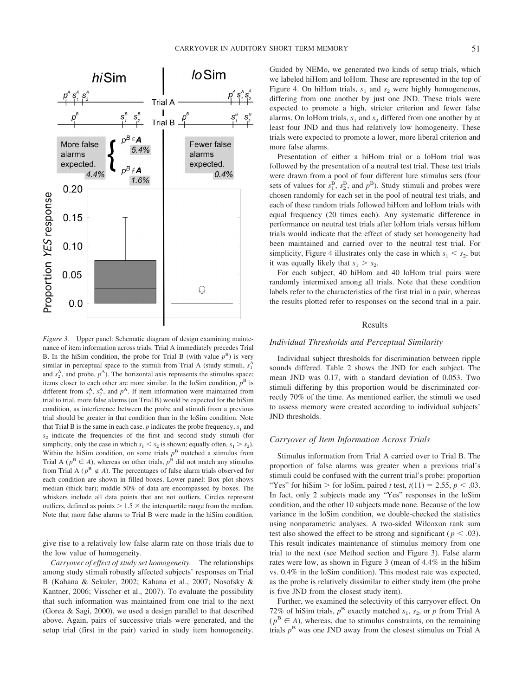

*Figure 3.* Upper panel: Schematic diagram of design examining maintenance of item information across trials. Trial A immediately precedes Trial B. In the hiSim condition, the probe for Trial B (with value  $p^B$ ) is very similar in perceptual space to the stimuli from Trial A (study stimuli,  $s_1^A$ ) and  $s_2^A$ , and probe,  $p^A$ ). The horizontal axis represents the stimulus space; items closer to each other are more similar. In the loSim condition,  $p<sup>B</sup>$  is different from  $s_1^A$ ,  $s_2^A$ , and  $p^A$ . If item information were maintained from trial to trial, more false alarms (on Trial B) would be expected for the hiSim condition, as interference between the probe and stimuli from a previous trial should be greater in that condition than in the loSim condition. Note that Trial B is the same in each case.  $p$  indicates the probe frequency,  $s_1$  and  $s<sub>2</sub>$  indicate the frequencies of the first and second study stimuli (for simplicity, only the case in which  $s_1 < s_2$  is shown; equally often,  $s_1 > s_2$ ). Within the hiSim condition, on some trials  $p<sup>B</sup>$  matched a stimulus from Trial A ( $p^B \in A$ ), whereas on other trials,  $p^B$  did not match any stimulus from Trial A ( $p^B \notin A$ ). The percentages of false alarm trials observed for each condition are shown in filled boxes. Lower panel: Box plot shows median (thick bar); middle 50% of data are encompassed by boxes. The whiskers include all data points that are not outliers. Circles represent outliers, defined as points  $> 1.5 \times$  the interquartile range from the median. Note that more false alarms to Trial B were made in the hiSim condition.

give rise to a relatively low false alarm rate on those trials due to the low value of homogeneity.

*Carryover of effect of study set homogeneity.* The relationships among study stimuli robustly affected subjects' responses on Trial B (Kahana & Sekuler, 2002; Kahana et al., 2007; Nosofsky & Kantner, 2006; Visscher et al., 2007). To evaluate the possibility that such information was maintained from one trial to the next (Gorea & Sagi, 2000), we used a design parallel to that described above. Again, pairs of successive trials were generated, and the setup trial (first in the pair) varied in study item homogeneity. Guided by NEMo, we generated two kinds of setup trials, which we labeled hiHom and loHom. These are represented in the top of Figure 4. On hiHom trials,  $s_1$  and  $s_2$  were highly homogeneous, differing from one another by just one JND. These trials were expected to promote a high, stricter criterion and fewer false alarms. On loHom trials,  $s_1$  and  $s_2$  differed from one another by at least four JND and thus had relatively low homogeneity. These trials were expected to promote a lower, more liberal criterion and more false alarms.

Presentation of either a hiHom trial or a loHom trial was followed by the presentation of a neutral test trial. These test trials were drawn from a pool of four different lure stimulus sets (four sets of values for  $s_1^{\overline{B}}$ ,  $s_2^{\overline{B}}$ , and  $p^{\overline{B}}$ ). Study stimuli and probes were chosen randomly for each set in the pool of neutral test trials, and each of these random trials followed hiHom and loHom trials with equal frequency (20 times each). Any systematic difference in performance on neutral test trials after loHom trials versus hiHom trials would indicate that the effect of study set homogeneity had been maintained and carried over to the neutral test trial. For simplicity, Figure 4 illustrates only the case in which  $s_1 < s_2$ , but it was equally likely that  $s_1 > s_2$ .

For each subject, 40 hiHom and 40 loHom trial pairs were randomly intermixed among all trials. Note that these condition labels refer to the characteristics of the first trial in a pair, whereas the results plotted refer to responses on the second trial in a pair.

## Results

#### *Individual Thresholds and Perceptual Similarity*

Individual subject thresholds for discrimination between ripple sounds differed. Table 2 shows the JND for each subject. The mean JND was 0.17, with a standard deviation of 0.053. Two stimuli differing by this proportion would be discriminated correctly 70% of the time. As mentioned earlier, the stimuli we used to assess memory were created according to individual subjects' JND thresholds.

#### *Carryover of Item Information Across Trials*

Stimulus information from Trial A carried over to Trial B. The proportion of false alarms was greater when a previous trial's stimuli could be confused with the current trial's probe: proportion "Yes" for hiSim > for loSim, paired *t* test,  $t(11) = 2.55$ ,  $p < .03$ . In fact, only 2 subjects made any "Yes" responses in the loSim condition, and the other 10 subjects made none. Because of the low variance in the loSim condition, we double-checked the statistics using nonparametric analyses. A two-sided Wilcoxon rank sum test also showed the effect to be strong and significant ( $p < .03$ ). This result indicates maintenance of stimulus memory from one trial to the next (see Method section and Figure 3). False alarm rates were low, as shown in Figure 3 (mean of 4.4% in the hiSim vs. 0.4% in the loSim condition). This modest rate was expected, as the probe is relatively dissimilar to either study item (the probe is five JND from the closest study item).

Further, we examined the selectivity of this carryover effect. On 72% of hiSim trials,  $p^B$  exactly matched  $s_1$ ,  $s_2$ , or p from Trial A  $(p^B \in A)$ , whereas, due to stimulus constraints, on the remaining trials  $p^B$  was one JND away from the closest stimulus on Trial A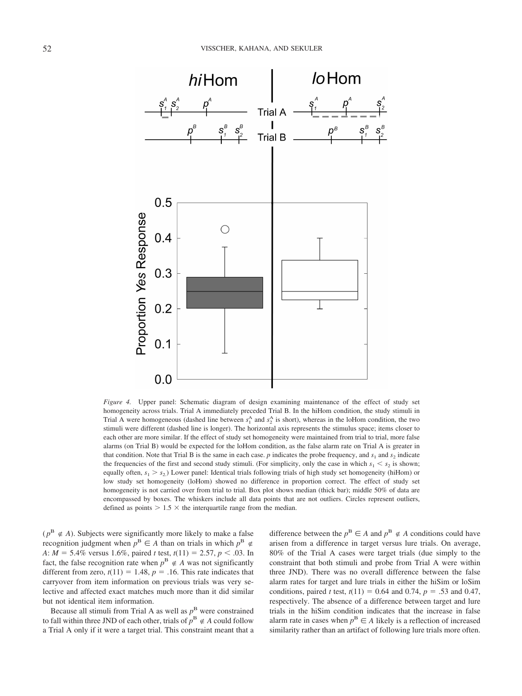

*Figure 4.* Upper panel: Schematic diagram of design examining maintenance of the effect of study set homogeneity across trials. Trial A immediately preceded Trial B. In the hiHom condition, the study stimuli in Trial A were homogeneous (dashed line between  $s_1^A$  and  $s_2^A$  is short), whereas in the loHom condition, the two stimuli were different (dashed line is longer). The horizontal axis represents the stimulus space; items closer to each other are more similar. If the effect of study set homogeneity were maintained from trial to trial, more false alarms (on Trial B) would be expected for the loHom condition, as the false alarm rate on Trial A is greater in that condition. Note that Trial B is the same in each case.  $p$  indicates the probe frequency, and  $s_1$  and  $s_2$  indicate the frequencies of the first and second study stimuli. (For simplicity, only the case in which  $s_1 < s_2$  is shown; equally often,  $s_1 > s_2$ ) Lower panel: Identical trials following trials of high study set homogeneity (hiHom) or low study set homogeneity (loHom) showed no difference in proportion correct. The effect of study set homogeneity is not carried over from trial to trial. Box plot shows median (thick bar); middle 50% of data are encompassed by boxes. The whiskers include all data points that are not outliers. Circles represent outliers, defined as points  $> 1.5 \times$  the interquartile range from the median.

( $p^B \notin A$ ). Subjects were significantly more likely to make a false recognition judgment when  $p^B \in A$  than on trials in which  $p^B \notin A$ *A*:  $M = 5.4\%$  versus 1.6%, paired *t* test,  $t(11) = 2.57$ ,  $p < .03$ . In fact, the false recognition rate when  $p^B \notin A$  was not significantly different from zero,  $t(11) = 1.48$ ,  $p = .16$ . This rate indicates that carryover from item information on previous trials was very selective and affected exact matches much more than it did similar but not identical item information.

Because all stimuli from Trial A as well as  $p^B$  were constrained to fall within three JND of each other, trials of  $p^B \notin A$  could follow a Trial A only if it were a target trial. This constraint meant that a difference between the  $p^B \in A$  and  $p^B \notin A$  conditions could have arisen from a difference in target versus lure trials. On average, 80% of the Trial A cases were target trials (due simply to the constraint that both stimuli and probe from Trial A were within three JND). There was no overall difference between the false alarm rates for target and lure trials in either the hiSim or loSim conditions, paired *t* test,  $t(11) = 0.64$  and 0.74,  $p = .53$  and 0.47, respectively. The absence of a difference between target and lure trials in the hiSim condition indicates that the increase in false alarm rate in cases when  $p^B \in A$  likely is a reflection of increased similarity rather than an artifact of following lure trials more often.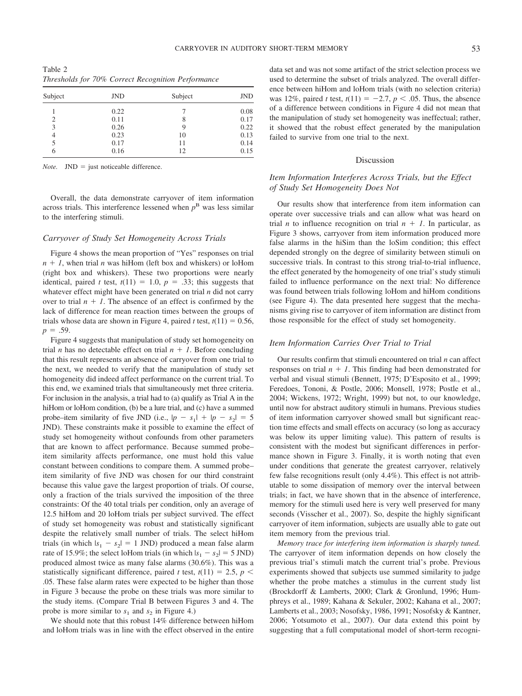Table 2 *Thresholds for 70% Correct Recognition Performance*

| Subject | <b>JND</b> | Subject | <b>JND</b> |
|---------|------------|---------|------------|
|         | 0.22       |         | 0.08       |
| 2       | 0.11       | 8       | 0.17       |
| 3       | 0.26       | 9       | 0.22       |
| 4       | 0.23       | 10      | 0.13       |
| 5       | 0.17       | 11      | 0.14       |
| 6       | 0.16       | 12      | 0.15       |

*Note.*  $JND =$  just noticeable difference.

Overall, the data demonstrate carryover of item information across trials. This interference lessened when  $p<sup>B</sup>$  was less similar to the interfering stimuli.

#### *Carryover of Study Set Homogeneity Across Trials*

Figure 4 shows the mean proportion of "Yes" responses on trial  $n + 1$ , when trial *n* was hiHom (left box and whiskers) or loHom (right box and whiskers). These two proportions were nearly identical, paired *t* test,  $t(11) = 1.0$ ,  $p = .33$ ; this suggests that whatever effect might have been generated on trial *n* did not carry over to trial  $n + 1$ . The absence of an effect is confirmed by the lack of difference for mean reaction times between the groups of trials whose data are shown in Figure 4, paired *t* test,  $t(11) = 0.56$ ,  $p = .59$ .

Figure 4 suggests that manipulation of study set homogeneity on trial *n* has no detectable effect on trial  $n + 1$ . Before concluding that this result represents an absence of carryover from one trial to the next, we needed to verify that the manipulation of study set homogeneity did indeed affect performance on the current trial. To this end, we examined trials that simultaneously met three criteria. For inclusion in the analysis, a trial had to (a) qualify as Trial A in the hiHom or loHom condition, (b) be a lure trial, and (c) have a summed probe–item similarity of five JND (i.e.,  $|p - s_1| + |p - s_2| = 5$ JND). These constraints make it possible to examine the effect of study set homogeneity without confounds from other parameters that are known to affect performance. Because summed probe– item similarity affects performance, one must hold this value constant between conditions to compare them. A summed probe– item similarity of five JND was chosen for our third constraint because this value gave the largest proportion of trials. Of course, only a fraction of the trials survived the imposition of the three constraints: Of the 40 total trials per condition, only an average of 12.5 hiHom and 20 loHom trials per subject survived. The effect of study set homogeneity was robust and statistically significant despite the relatively small number of trials. The select hiHom trials (in which  $|s_1 - s_2| = 1$  JND) produced a mean false alarm rate of 15.9%; the select loHom trials (in which  $|s_1 - s_2| = 5$  JND) produced almost twice as many false alarms (30.6%). This was a statistically significant difference, paired *t* test,  $t(11) = 2.5$ ,  $p <$ .05. These false alarm rates were expected to be higher than those in Figure 3 because the probe on these trials was more similar to the study items. (Compare Trial B between Figures 3 and 4. The probe is more similar to  $s_1$  and  $s_2$  in Figure 4.)

We should note that this robust 14% difference between hiHom and loHom trials was in line with the effect observed in the entire

data set and was not some artifact of the strict selection process we used to determine the subset of trials analyzed. The overall difference between hiHom and loHom trials (with no selection criteria) was 12%, paired *t* test,  $t(11) = -2.7, p < .05$ . Thus, the absence of a difference between conditions in Figure 4 did not mean that the manipulation of study set homogeneity was ineffectual; rather, it showed that the robust effect generated by the manipulation failed to survive from one trial to the next.

# Discussion

# *Item Information Interferes Across Trials, but the Effect of Study Set Homogeneity Does Not*

Our results show that interference from item information can operate over successive trials and can allow what was heard on trial *n* to influence recognition on trial  $n + 1$ . In particular, as Figure 3 shows, carryover from item information produced more false alarms in the hiSim than the loSim condition; this effect depended strongly on the degree of similarity between stimuli on successive trials. In contrast to this strong trial-to-trial influence, the effect generated by the homogeneity of one trial's study stimuli failed to influence performance on the next trial: No difference was found between trials following loHom and hiHom conditions (see Figure 4). The data presented here suggest that the mechanisms giving rise to carryover of item information are distinct from those responsible for the effect of study set homogeneity.

# *Item Information Carries Over Trial to Trial*

Our results confirm that stimuli encountered on trial *n* can affect responses on trial  $n + 1$ . This finding had been demonstrated for verbal and visual stimuli (Bennett, 1975; D'Esposito et al., 1999; Feredoes, Tononi, & Postle, 2006; Monsell, 1978; Postle et al., 2004; Wickens, 1972; Wright, 1999) but not, to our knowledge, until now for abstract auditory stimuli in humans. Previous studies of item information carryover showed small but significant reaction time effects and small effects on accuracy (so long as accuracy was below its upper limiting value). This pattern of results is consistent with the modest but significant differences in performance shown in Figure 3. Finally, it is worth noting that even under conditions that generate the greatest carryover, relatively few false recognitions result (only 4.4%). This effect is not attributable to some dissipation of memory over the interval between trials; in fact, we have shown that in the absence of interference, memory for the stimuli used here is very well preserved for many seconds (Visscher et al., 2007). So, despite the highly significant carryover of item information, subjects are usually able to gate out item memory from the previous trial.

*Memory trace for interfering item information is sharply tuned.* The carryover of item information depends on how closely the previous trial's stimuli match the current trial's probe. Previous experiments showed that subjects use summed similarity to judge whether the probe matches a stimulus in the current study list (Brockdorff & Lamberts, 2000; Clark & Gronlund, 1996; Humphreys et al., 1989; Kahana & Sekuler, 2002; Kahana et al., 2007; Lamberts et al., 2003; Nosofsky, 1986, 1991; Nosofsky & Kantner, 2006; Yotsumoto et al., 2007). Our data extend this point by suggesting that a full computational model of short-term recogni-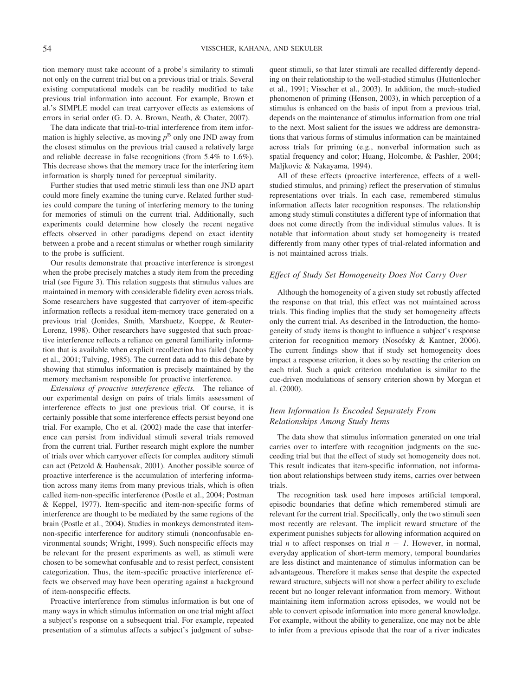tion memory must take account of a probe's similarity to stimuli not only on the current trial but on a previous trial or trials. Several existing computational models can be readily modified to take previous trial information into account. For example, Brown et al.'s SIMPLE model can treat carryover effects as extensions of errors in serial order (G. D. A. Brown, Neath, & Chater, 2007).

The data indicate that trial-to-trial interference from item information is highly selective, as moving  $p^B$  only one JND away from the closest stimulus on the previous trial caused a relatively large and reliable decrease in false recognitions (from 5.4% to 1.6%). This decrease shows that the memory trace for the interfering item information is sharply tuned for perceptual similarity.

Further studies that used metric stimuli less than one JND apart could more finely examine the tuning curve. Related further studies could compare the tuning of interfering memory to the tuning for memories of stimuli on the current trial. Additionally, such experiments could determine how closely the recent negative effects observed in other paradigms depend on exact identity between a probe and a recent stimulus or whether rough similarity to the probe is sufficient.

Our results demonstrate that proactive interference is strongest when the probe precisely matches a study item from the preceding trial (see Figure 3). This relation suggests that stimulus values are maintained in memory with considerable fidelity even across trials. Some researchers have suggested that carryover of item-specific information reflects a residual item-memory trace generated on a previous trial (Jonides, Smith, Marshuetz, Koeppe, & Reuter-Lorenz, 1998). Other researchers have suggested that such proactive interference reflects a reliance on general familiarity information that is available when explicit recollection has failed (Jacoby et al., 2001; Tulving, 1985). The current data add to this debate by showing that stimulus information is precisely maintained by the memory mechanism responsible for proactive interference.

*Extensions of proactive interference effects.* The reliance of our experimental design on pairs of trials limits assessment of interference effects to just one previous trial. Of course, it is certainly possible that some interference effects persist beyond one trial. For example, Cho et al. (2002) made the case that interference can persist from individual stimuli several trials removed from the current trial. Further research might explore the number of trials over which carryover effects for complex auditory stimuli can act (Petzold & Haubensak, 2001). Another possible source of proactive interference is the accumulation of interfering information across many items from many previous trials, which is often called item-non-specific interference (Postle et al., 2004; Postman & Keppel, 1977). Item-specific and item-non-specific forms of interference are thought to be mediated by the same regions of the brain (Postle et al., 2004). Studies in monkeys demonstrated itemnon-specific interference for auditory stimuli (nonconfusable environmental sounds; Wright, 1999). Such nonspecific effects may be relevant for the present experiments as well, as stimuli were chosen to be somewhat confusable and to resist perfect, consistent categorization. Thus, the item-specific proactive interference effects we observed may have been operating against a background of item-nonspecific effects.

Proactive interference from stimulus information is but one of many ways in which stimulus information on one trial might affect a subject's response on a subsequent trial. For example, repeated presentation of a stimulus affects a subject's judgment of subsequent stimuli, so that later stimuli are recalled differently depending on their relationship to the well-studied stimulus (Huttenlocher et al., 1991; Visscher et al., 2003). In addition, the much-studied phenomenon of priming (Henson, 2003), in which perception of a stimulus is enhanced on the basis of input from a previous trial, depends on the maintenance of stimulus information from one trial to the next. Most salient for the issues we address are demonstrations that various forms of stimulus information can be maintained across trials for priming (e.g., nonverbal information such as spatial frequency and color; Huang, Holcombe, & Pashler, 2004; Maljkovic & Nakayama, 1994).

All of these effects (proactive interference, effects of a wellstudied stimulus, and priming) reflect the preservation of stimulus representations over trials. In each case, remembered stimulus information affects later recognition responses. The relationship among study stimuli constitutes a different type of information that does not come directly from the individual stimulus values. It is notable that information about study set homogeneity is treated differently from many other types of trial-related information and is not maintained across trials.

### *Effect of Study Set Homogeneity Does Not Carry Over*

Although the homogeneity of a given study set robustly affected the response on that trial, this effect was not maintained across trials. This finding implies that the study set homogeneity affects only the current trial. As described in the Introduction, the homogeneity of study items is thought to influence a subject's response criterion for recognition memory (Nosofsky & Kantner, 2006). The current findings show that if study set homogeneity does impact a response criterion, it does so by resetting the criterion on each trial. Such a quick criterion modulation is similar to the cue-driven modulations of sensory criterion shown by Morgan et al. (2000).

# *Item Information Is Encoded Separately From Relationships Among Study Items*

The data show that stimulus information generated on one trial carries over to interfere with recognition judgments on the succeeding trial but that the effect of study set homogeneity does not. This result indicates that item-specific information, not information about relationships between study items, carries over between trials.

The recognition task used here imposes artificial temporal, episodic boundaries that define which remembered stimuli are relevant for the current trial. Specifically, only the two stimuli seen most recently are relevant. The implicit reward structure of the experiment punishes subjects for allowing information acquired on trial *n* to affect responses on trial  $n + 1$ . However, in normal, everyday application of short-term memory, temporal boundaries are less distinct and maintenance of stimulus information can be advantageous. Therefore it makes sense that despite the expected reward structure, subjects will not show a perfect ability to exclude recent but no longer relevant information from memory. Without maintaining item information across episodes, we would not be able to convert episode information into more general knowledge. For example, without the ability to generalize, one may not be able to infer from a previous episode that the roar of a river indicates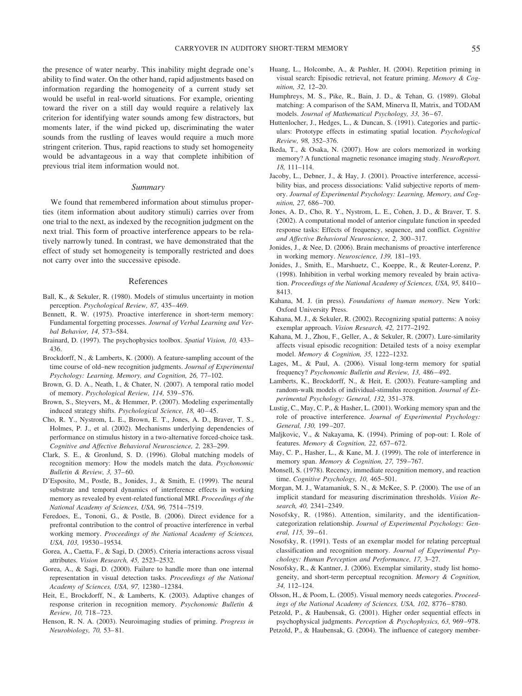the presence of water nearby. This inability might degrade one's ability to find water. On the other hand, rapid adjustments based on information regarding the homogeneity of a current study set would be useful in real-world situations. For example, orienting toward the river on a still day would require a relatively lax criterion for identifying water sounds among few distractors, but moments later, if the wind picked up, discriminating the water sounds from the rustling of leaves would require a much more stringent criterion. Thus, rapid reactions to study set homogeneity would be advantageous in a way that complete inhibition of previous trial item information would not.

#### *Summary*

We found that remembered information about stimulus properties (item information about auditory stimuli) carries over from one trial to the next, as indexed by the recognition judgment on the next trial. This form of proactive interference appears to be relatively narrowly tuned. In contrast, we have demonstrated that the effect of study set homogeneity is temporally restricted and does not carry over into the successive episode.

#### References

- Ball, K., & Sekuler, R. (1980). Models of stimulus uncertainty in motion perception. *Psychological Review, 87,* 435– 469.
- Bennett, R. W. (1975). Proactive interference in short-term memory: Fundamental forgetting processes. *Journal of Verbal Learning and Verbal Behavior, 14,* 573–584.
- Brainard, D. (1997). The psychophysics toolbox. *Spatial Vision, 10,* 433– 436.
- Brockdorff, N., & Lamberts, K. (2000). A feature-sampling account of the time course of old–new recognition judgments. *Journal of Experimental Psychology: Learning, Memory, and Cognition, 26,* 77–102.
- Brown, G. D. A., Neath, I., & Chater, N. (2007). A temporal ratio model of memory. *Psychological Review, 114,* 539 –576.
- Brown, S., Steyvers, M., & Hemmer, P. (2007). Modeling experimentally induced strategy shifts. *Psychological Science*, 18, 40-45.
- Cho, R. Y., Nystrom, L. E., Brown, E. T., Jones, A. D., Braver, T. S., Holmes, P. J., et al. (2002). Mechanisms underlying dependencies of performance on stimulus history in a two-alternative forced-choice task. *Cognitive and Affective Behavioral Neuroscience, 2,* 283–299.
- Clark, S. E., & Gronlund, S. D. (1996). Global matching models of recognition memory: How the models match the data. *Psychonomic Bulletin & Review, 3,* 37– 60.
- D'Esposito, M., Postle, B., Jonides, J., & Smith, E. (1999). The neural substrate and temporal dynamics of interference effects in working memory as revealed by event-related functional MRI. *Proceedings of the National Academy of Sciences, USA, 96,* 7514 –7519.
- Feredoes, E., Tononi, G., & Postle, B. (2006). Direct evidence for a prefrontal contribution to the control of proactive interference in verbal working memory. *Proceedings of the National Academy of Sciences, USA, 103,* 19530 –19534.
- Gorea, A., Caetta, F., & Sagi, D. (2005). Criteria interactions across visual attributes. *Vision Research, 45,* 2523–2532.
- Gorea, A., & Sagi, D. (2000). Failure to handle more than one internal representation in visual detection tasks. *Proceedings of the National Academy of Sciences, USA, 97,* 12380 –12384.
- Heit, E., Brockdorff, N., & Lamberts, K. (2003). Adaptive changes of response criterion in recognition memory. *Psychonomic Bulletin & Review, 10,* 718 –723.
- Henson, R. N. A. (2003). Neuroimaging studies of priming. *Progress in Neurobiology, 70,* 53– 81.
- Huang, L., Holcombe, A., & Pashler, H. (2004). Repetition priming in visual search: Episodic retrieval, not feature priming. *Memory & Cognition, 32,* 12–20.
- Humphreys, M. S., Pike, R., Bain, J. D., & Tehan, G. (1989). Global matching: A comparison of the SAM, Minerva II, Matrix, and TODAM models. *Journal of Mathematical Psychology, 33, 36-67.*
- Huttenlocher, J., Hedges, L., & Duncan, S. (1991). Categories and particulars: Prototype effects in estimating spatial location. *Psychological Review, 98,* 352–376.
- Ikeda, T., & Osaka, N. (2007). How are colors memorized in working memory? A functional magnetic resonance imaging study. *NeuroReport, 18,* 111–114.
- Jacoby, L., Debner, J., & Hay, J. (2001). Proactive interference, accessibility bias, and process dissociations: Valid subjective reports of memory. *Journal of Experimental Psychology: Learning, Memory, and Cognition, 27,* 686 –700.
- Jones, A. D., Cho, R. Y., Nystrom, L. E., Cohen, J. D., & Braver, T. S. (2002). A computational model of anterior cingulate function in speeded response tasks: Effects of frequency, sequence, and conflict. *Cognitive and Affective Behavioral Neuroscience, 2,* 300 –317.
- Jonides, J., & Nee, D. (2006). Brain mechanisms of proactive interference in working memory. *Neuroscience, 139,* 181–193.
- Jonides, J., Smith, E., Marshuetz, C., Koeppe, R., & Reuter-Lorenz, P. (1998). Inhibition in verbal working memory revealed by brain activation. *Proceedings of the National Academy of Sciences, USA, 95,* 8410 – 8413.
- Kahana, M. J. (in press). *Foundations of human memory*. New York: Oxford University Press.
- Kahana, M. J., & Sekuler, R. (2002). Recognizing spatial patterns: A noisy exemplar approach. *Vision Research, 42,* 2177–2192.
- Kahana, M. J., Zhou, F., Geller, A., & Sekuler, R. (2007). Lure-similarity affects visual episodic recognition: Detailed tests of a noisy exemplar model. *Memory & Cognition, 35,* 1222–1232.
- Lages, M., & Paul, A. (2006). Visual long-term memory for spatial frequency? *Psychonomic Bulletin and Review, 13, 486-492.*
- Lamberts, K., Brockdorff, N., & Heit, E. (2003). Feature-sampling and random-walk models of individual-stimulus recognition. *Journal of Experimental Psychology: General, 132,* 351–378.
- Lustig, C., May, C. P., & Hasher, L. (2001). Working memory span and the role of proactive interference. *Journal of Experimental Psychology: General, 130,* 199 –207.
- Maljkovic, V., & Nakayama, K. (1994). Priming of pop-out: I. Role of features. *Memory & Cognition*, 22, 657-672.
- May, C. P., Hasher, L., & Kane, M. J. (1999). The role of interference in memory span. *Memory & Cognition, 27,* 759 –767.
- Monsell, S. (1978). Recency, immediate recognition memory, and reaction time. *Cognitive Psychology, 10,* 465–501.
- Morgan, M. J., Watamaniuk, S. N., & McKee, S. P. (2000). The use of an implicit standard for measuring discrimination thresholds. *Vision Research, 40,* 2341–2349.
- Nosofsky, R. (1986). Attention, similarity, and the identificationcategorization relationship. *Journal of Experimental Psychology: General, 115,* 39 – 61.
- Nosofsky, R. (1991). Tests of an exemplar model for relating perceptual classification and recognition memory. *Journal of Experimental Psychology: Human Perception and Performance, 17,* 3–27.
- Nosofsky, R., & Kantner, J. (2006). Exemplar similarity, study list homogeneity, and short-term perceptual recognition. *Memory & Cognition, 34,* 112–124.
- Olsson, H., & Poom, L. (2005). Visual memory needs categories. *Proceedings of the National Academy of Sciences, USA, 102,* 8776 – 8780.
- Petzold, P., & Haubensak, G. (2001). Higher order sequential effects in psychophysical judgments. *Perception & Psychophysics, 63,* 969 –978.
- Petzold, P., & Haubensak, G. (2004). The influence of category member-